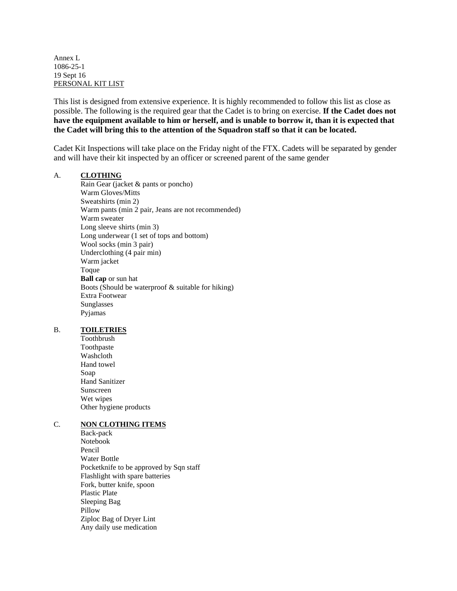Annex L 1086-25-1 19 Sept 16 PERSONAL KIT LIST

This list is designed from extensive experience. It is highly recommended to follow this list as close as possible. The following is the required gear that the Cadet is to bring on exercise. **If the Cadet does not have the equipment available to him or herself, and is unable to borrow it, than it is expected that the Cadet will bring this to the attention of the Squadron staff so that it can be located.**

Cadet Kit Inspections will take place on the Friday night of the FTX. Cadets will be separated by gender and will have their kit inspected by an officer or screened parent of the same gender

## A. **CLOTHING**

Rain Gear (jacket & pants or poncho) Warm Gloves/Mitts Sweatshirts (min 2) Warm pants (min 2 pair, Jeans are not recommended) Warm sweater Long sleeve shirts (min 3) Long underwear (1 set of tops and bottom) Wool socks (min 3 pair) Underclothing (4 pair min) Warm jacket Toque **Ball cap** or sun hat Boots (Should be waterproof & suitable for hiking) Extra Footwear Sunglasses Pyjamas

## B. **TOILETRIES**

Toothbrush Toothpaste Washcloth Hand towel Soap Hand Sanitizer Sunscreen Wet wipes Other hygiene products

## C. **NON CLOTHING ITEMS**

Back-pack Notebook Pencil Water Bottle Pocketknife to be approved by Sqn staff Flashlight with spare batteries Fork, butter knife, spoon Plastic Plate Sleeping Bag Pillow Ziploc Bag of Dryer Lint Any daily use medication